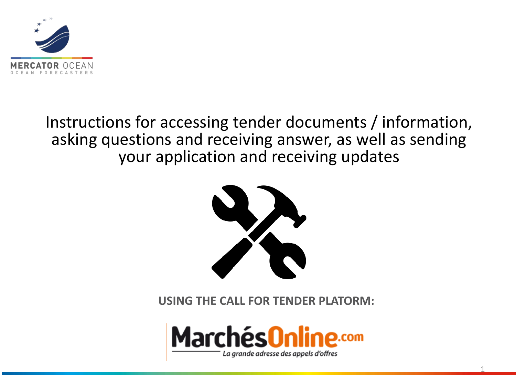

# Instructions for accessing tender documents / information, asking questions and receiving answer, as well as sending your application and receiving updates



**USING THE CALL FOR TENDER PLATORM:**



1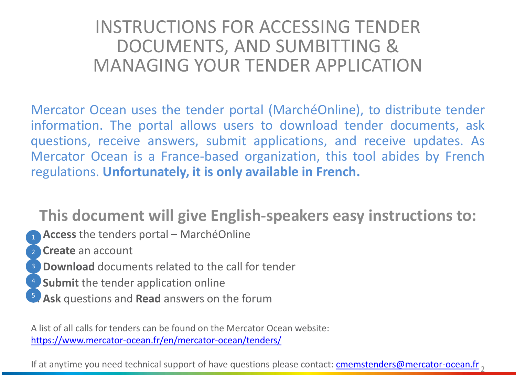## INSTRUCTIONS FOR ACCESSING TENDER DOCUMENTS, AND SUMBITTING & MANAGING YOUR TENDER APPLICATION

Mercator Ocean uses the tender portal (MarchéOnline), to distribute tender information. The portal allows users to download tender documents, ask questions, receive answers, submit applications, and receive updates. As Mercator Ocean is a France-based organization, this tool abides by French regulations. **Unfortunately, it is only available in French.**

## **This document will give English-speakers easy instructions to:**

- 1. **Access** the tenders portal MarchéOnline 1
- 2. **Create** an account 2
- <sup>3</sup> Download documents related to the call for tender
- **Submit** the tender application online 4
- 5. **Ask** questions and **Read** answers on the forum 5

A list of all calls for tenders can be found on the Mercator Ocean website: <https://www.mercator-ocean.fr/en/mercator-ocean/tenders/>

If at anytime you need technical support of have questions please contact: <u>[cmemstenders@mercator-ocean.fr](mailto:cmemstenders@mercator-ocean.fr) <sub>2</sub></u>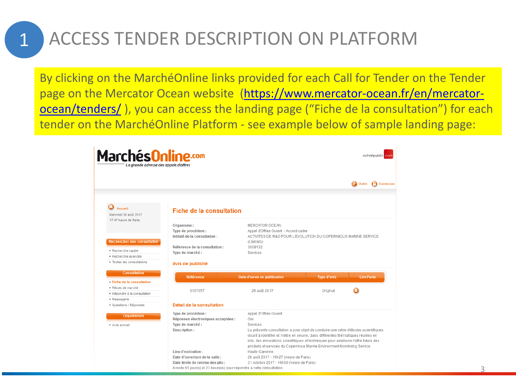## ACCESS TENDER DESCRIPTION ON PLATFORM

1

By clicking on the MarchéOnline links provided for each Call for Tender on the Tender page on the Mercator Ocean website [\(https://www.mercator-ocean.fr/en/mercator](https://www.mercator-ocean.fr/en/mercator-ocean/tenders/)[ocean/tenders/](https://www.mercator-ocean.fr/en/mercator-ocean/tenders/) ), you can access the landing page ("Fiche de la consultation") for each tender on the MarchéOnline Platform - see example below of sample landing page:

| Marchés <mark>Online.com</mark><br>La grande adresse des appels d'offres                                                          |                                                                                                                                 |                    | achatpublic.com                  |
|-----------------------------------------------------------------------------------------------------------------------------------|---------------------------------------------------------------------------------------------------------------------------------|--------------------|----------------------------------|
|                                                                                                                                   |                                                                                                                                 |                    | Outils<br><sup>1</sup> Connexion |
| <b>Accueil</b><br><b>Fiche de la consultation</b><br>Mercredi 30 août 2017                                                        |                                                                                                                                 |                    |                                  |
| 17:47 heure de Paris.<br>Organisme:<br>Type de procédure :<br>Intitulé de la consultation :<br><b>Rechercher une consultation</b> | <b>MERCATOR OCEAN</b><br>Appel d'Offres Ouvert - Accord cadre<br>ACTIVITES DE R&D POUR L'EVOLUTION DU COPERNICUS MARINE SERVICE |                    |                                  |
| Référence de la consultation :                                                                                                    | (CMEMS)<br>3009132                                                                                                              |                    |                                  |
| • Recherche rapide<br>Type de marché :                                                                                            | Services                                                                                                                        |                    |                                  |
| · Recherche avancée                                                                                                               |                                                                                                                                 |                    |                                  |
| • Toutes les consultations<br>Avis de publicité                                                                                   |                                                                                                                                 |                    |                                  |
| <b>Consultation</b><br><b>Référence</b>                                                                                           | Date d'envoi en publication                                                                                                     | <b>Type d'avis</b> | Lire l'avis                      |
| • Fiche de la consultation                                                                                                        |                                                                                                                                 |                    |                                  |
| · Pièces de marché<br>3167057                                                                                                     | 26 août 2017                                                                                                                    | Original           |                                  |
| · Répondre à la consultation                                                                                                      |                                                                                                                                 |                    |                                  |
| • Messagerie                                                                                                                      |                                                                                                                                 |                    |                                  |
| Détail de la consultation<br>• Questions / Réponses                                                                               |                                                                                                                                 |                    |                                  |
| Type de procédure :<br><b>Organismes</b>                                                                                          | Appel d'Offres Ouvert                                                                                                           |                    |                                  |
| Réponses électroniques acceptées :                                                                                                | Oui                                                                                                                             |                    |                                  |
| Type de marché :<br>· Avis annuel                                                                                                 | <b>Services</b>                                                                                                                 |                    |                                  |
| <b>Description:</b>                                                                                                               | La présente consultation a pour objet de conduire une série d'études scientifiques                                              |                    |                                  |
|                                                                                                                                   | visant à identifier et mettre en oeuvre, dans différentes thématiques réunies en                                                |                    |                                  |
|                                                                                                                                   | lots, des innovations scientifiques et techniques pour améliorer l'offre future des                                             |                    |                                  |
|                                                                                                                                   | produits et services du Copernicus Marine Environment Monitoring Service.                                                       |                    |                                  |
| Lieu d'exécution :                                                                                                                | Haute-Garonne                                                                                                                   |                    |                                  |
| Date d'ouverture de la salle :                                                                                                    | 28 août 2017 - 16h27 (heure de Paris)                                                                                           |                    |                                  |
| Date limite de remise des plis :                                                                                                  | 31 octobre 2017 - 16h00 (heure de Paris)                                                                                        |                    |                                  |
|                                                                                                                                   | Il reste 61 jour(s) et 23 heure(s) pour répondre à cette consultation.                                                          |                    |                                  |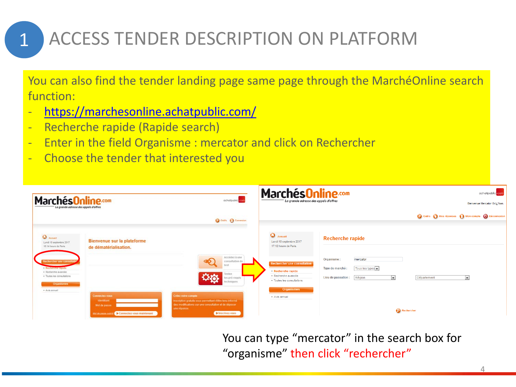## ACCESS TENDER DESCRIPTION ON PLATFORM

You can also find the tender landing page same page through the MarchéOnline search function:

- <https://marchesonline.achatpublic.com/>
- Recherche rapide (Rapide search)

1

- Enter in the field Organisme : mercator and click on Rechercher
- Choose the tender that interested you

| <b>MarchésOnline.com</b><br>La grande adresse des appels d'offres                                                           |                                                                                                   | acharpublic com                                                                                                                                                         | <b>MarchésOnline.com</b><br>La grande adresse des appels d'offres                                      |                                                                                                                          | achatpublic.com<br>Bienvenue Mercator Oci / Yan.    |
|-----------------------------------------------------------------------------------------------------------------------------|---------------------------------------------------------------------------------------------------|-------------------------------------------------------------------------------------------------------------------------------------------------------------------------|--------------------------------------------------------------------------------------------------------|--------------------------------------------------------------------------------------------------------------------------|-----------------------------------------------------|
|                                                                                                                             |                                                                                                   | Outlet D Connexion                                                                                                                                                      |                                                                                                        |                                                                                                                          | Outils in Mes réponses in Mon compte in Déconnexion |
| <b>Q</b> ACCURE<br>Lundi 18 septembre 2017<br>16:14 houre de Paris                                                          | Bienvenue sur la plateforme<br>de dématérialisation.                                              |                                                                                                                                                                         | $\bullet$ Accueil<br>Lundi 18 septembre 2017<br>17:12 heure de Paris.                                  | <b>Recherche rapide</b>                                                                                                  |                                                     |
| <b>Rechercher une consultation</b><br>· Recherche ragide<br>· Recherche avancée<br>· Toutes les consultations<br>Organismes |                                                                                                   | Accédez à une<br>consultation de<br>test<br>Testez<br>les pré-requis<br>techniques                                                                                      | Rechercher une consultation<br>- Recherche rapide<br>· Recherche avancée<br>· Toutes les consultations | mercator<br>Organisme:<br>Tous les types<br>Type de marché :<br>$\overline{\phantom{a}}$<br>Lieu de passation:<br>Région | Département<br>$\vert \cdot \vert$                  |
| · Avis annuel                                                                                                               | Connectez-vous<br>Identifiant<br>Mot de passe<br>Mot de passe qualité   Connectez vous maintenant | Créez votre compte<br>Inscription grabule vous permettant d'être tenu informé<br>des modifications sur une consultation et de déposer<br>une réponse.<br>Inscrivez-yous | <b>Organismes</b><br>• Avis annuel                                                                     |                                                                                                                          | Rechercher                                          |

You can type "mercator" in the search box for "organisme" then click "rechercher"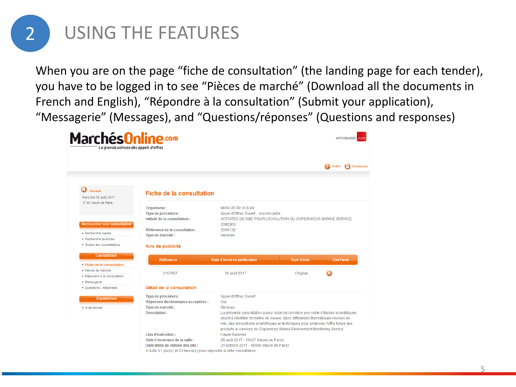

When you are on the page "fiche de consultation" (the landing page for each tender), you have to be logged in to see "Pièces de marché" (Download all the documents in French and English), "Répondre à la consultation" (Submit your application), "Messagerie" (Messages), and "Questions/réponses" (Questions and responses)

| <b>MarchésOnline.com</b><br>La grande adresse des appels d'offres                              |                                                                                                                                                                    |                                                                                                                                                                                                                                                                        |                                | achatpublic.com                         |
|------------------------------------------------------------------------------------------------|--------------------------------------------------------------------------------------------------------------------------------------------------------------------|------------------------------------------------------------------------------------------------------------------------------------------------------------------------------------------------------------------------------------------------------------------------|--------------------------------|-----------------------------------------|
|                                                                                                |                                                                                                                                                                    |                                                                                                                                                                                                                                                                        |                                | <sup>1</sup> Connexion<br><b>Outils</b> |
| Accueil<br>Mercredi 30 août 2017                                                               | <b>Fiche de la consultation</b>                                                                                                                                    |                                                                                                                                                                                                                                                                        |                                |                                         |
| 17:47 heure de Paris.<br><b>Rechercher une consultation</b>                                    | Organisme:<br>Type de procédure :<br>Intitulé de la consultation :<br>Référence de la consultation :                                                               | <b>MERCATOR OCEAN</b><br>Appel d'Offres Ouvert - Accord cadre<br>ACTIVITES DE R&D POUR L'EVOLUTION DU COPERNICUS MARINE SERVICE<br>(CMEMS)<br>3009132                                                                                                                  |                                |                                         |
| · Recherche rapide<br>· Recherche avancée<br>• Toutes les consultations<br><b>Consultation</b> | Type de marché :<br>Avis de publicité                                                                                                                              | Services                                                                                                                                                                                                                                                               |                                |                                         |
| • Fiche de la consultation<br>· Pièces de marché<br>· Répondre à la consultation               | <b>Référence</b><br>3167057                                                                                                                                        | Date d'envoi en publication<br>26 août 2017                                                                                                                                                                                                                            | <b>Type d'avis</b><br>Original | Lire l'avis                             |
| • Messagerie<br>· Questions / Réponses                                                         | Détail de la consultation                                                                                                                                          |                                                                                                                                                                                                                                                                        |                                |                                         |
| <b>Organismes</b><br>· Avis annuel                                                             | Type de procédure :<br>Réponses électroniques acceptées :<br>Type de marché :<br><b>Description:</b>                                                               | Appel d'Offres Ouvert<br>Oui<br>Services<br>La présente consultation a pour objet de conduire une série d'études scientifiques<br>visant à identifier et mettre en oeuvre, dans différentes thématiques réunies en                                                     |                                |                                         |
|                                                                                                | Lieu d'exécution :<br>Date d'ouverture de la salle :<br>Date limite de remise des plis :<br>Il reste 61 jour(s) et 23 heure(s) pour répondre à cette consultation. | lots, des innovations scientifiques et techniques pour améliorer l'offre future des<br>produits et services du Copernicus Marine Environment Monitoring Service.<br>Haute-Garonne<br>28 août 2017 - 16h27 (heure de Paris)<br>31 octobre 2017 - 16h00 (heure de Paris) |                                |                                         |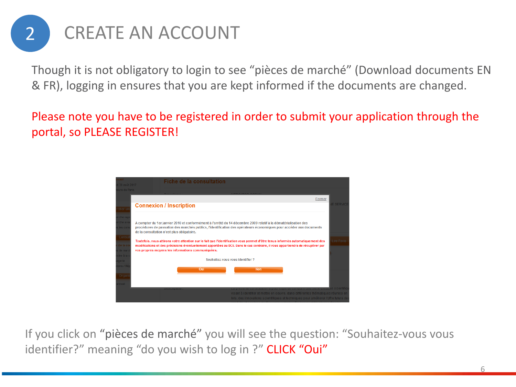

Though it is not obligatory to login to see "pièces de marché" (Download documents EN & FR), logging in ensures that you are kept informed if the documents are changed.

Please note you have to be registered in order to submit your application through the portal, so PLEASE REGISTER!



If you click on "pièces de marché" you will see the question: "Souhaitez-vous vous identifier?" meaning "do you wish to log in ?" CLICK "Oui"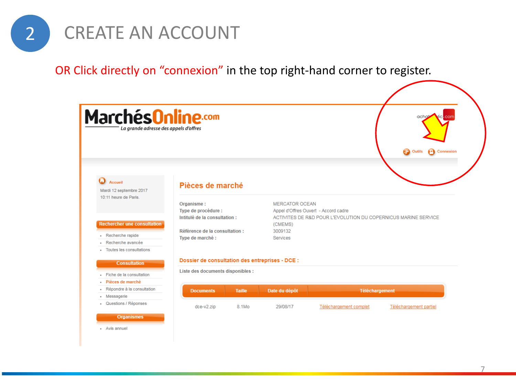

OR Click directly on "connexion" in the top right-hand corner to register.



#### **Organismes**

- Avis annuel

7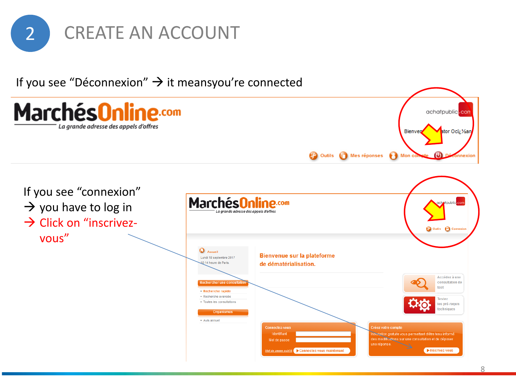

If you see "Déconnexion"  $\rightarrow$  it meansyou're connected

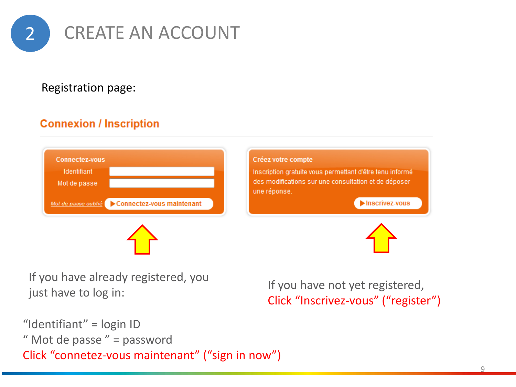

### Registration page:

## **Connexion / Inscription**





### Créez votre compte

Inscription gratuite vous permettant d'être tenu informé des modifications sur une consultation et de déposer une réponse.

Inscrivez-vous



If you have already registered, you just have to log in:

If you have not yet registered, Click "Inscrivez-vous" ("register")

"Identifiant" = login ID " Mot de passe " = password Click "connetez-vous maintenant" ("sign in now")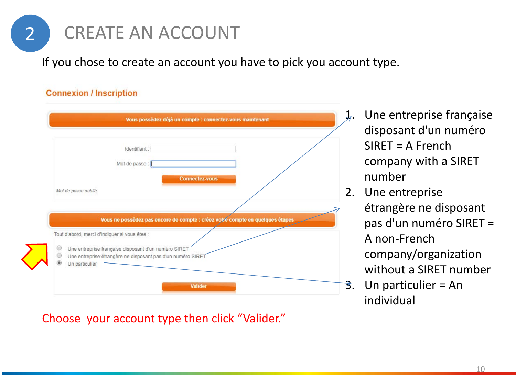

If you chose to create an account you have to pick you account type.

### **Connexion / Inscription**

| Identifiant:                                                                  |
|-------------------------------------------------------------------------------|
| Mot de passe :                                                                |
| <b>Connectez-vous</b>                                                         |
| Mot de passe oublié                                                           |
|                                                                               |
|                                                                               |
| Vous ne possédez pas encore de compte : créez votre compte en quelques étapes |
| Tout d'abord, merci d'indiquer si vous êtes :                                 |
| Une entreprise française disposant d'un numéro SIRET                          |
|                                                                               |
| Une entreprise étrangère ne disposant pas d'un numéro SIRET                   |

- 1. Une entreprise française disposant d'un numéro SIRET = A French company with a SIRET number
- 2. Une entreprise étrangère ne disposant pas d'un numéro SIRET = A non-French company/organization without a SIRET number
- 3. Un particulier = An individual

Choose your account type then click "Valider."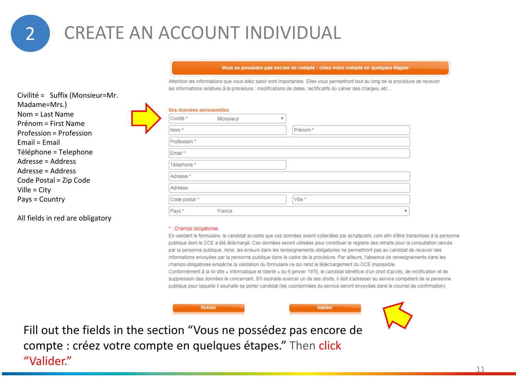## 2 CREATE AN ACCOUNT INDIVIDUAL

#### Vous ne possédez pas encore de compte : créez votre compte en quelques étapes

Attention les informations que vous allez saisir sont importantes. Elles vous permettront tout au long de la procédure de recevoir les informations relatives à la procédure : modifications de dates, rectificatifs du cahier des charges, etc...

| Vos données personnelles |          |         |  |
|--------------------------|----------|---------|--|
| Civilité *               | Monsieur | v       |  |
| Nom <sup>*</sup>         |          | Prénom* |  |
| Profession *             |          |         |  |
| Email *                  |          |         |  |
| Téléphone *              |          |         |  |
| Adresse <sup>*</sup>     |          |         |  |
| Adresse                  |          |         |  |
| Code postal *            |          | Ville * |  |
| Pays*                    | France   |         |  |
|                          |          |         |  |

#### \*: Champs obligatoires

En validant le formulaire, le candidat accepte que ces données soient collectées par achatpublic.com afin d'être transmises à la personne publique dont le DCE a été téléchargé. Ces données seront utilisées pour constituer le registre des retraits pour la consultation lancée par la personne publique. Ainsi, les erreurs dans les renseignements obligatoires ne permettront pas au candidat de recevoir des informations envoyées par la personne publique dans le cadre de la procédure. Par ailleurs, l'absence de renseignements dans les champs obligatoires empêche la validation du formulaire ce qui rend le téléchargement du DCE impossible. Conformément à la loi dite « informatique et liberté » du 6 janvier 1978, le candidat bénéficie d'un droit d'accès, de rectification et de suppression des données le concernant. S'il souhaite exercer un de ses droits, il doit s'adresser au service compétent de la personne publique pour laquelle il souhaite se porter candidat (les coordonnées du service seront envoyées dans le courriel de confirmation).

Valider

Civilité = Suffix (Monsieur=Mr. Madame=Mrs.) Nom = Last Name Prénom = First Name Profession = Profession Email = Email Téléphone = Telephone Adresse = Address Adresse = Address Code Postal = Zip Code Ville = City Pays = Country

All fields in red are obligatory





Fill out the fields in the section "Vous ne possédez pas encore de compte : créez votre compte en quelques étapes." Then click "Valider."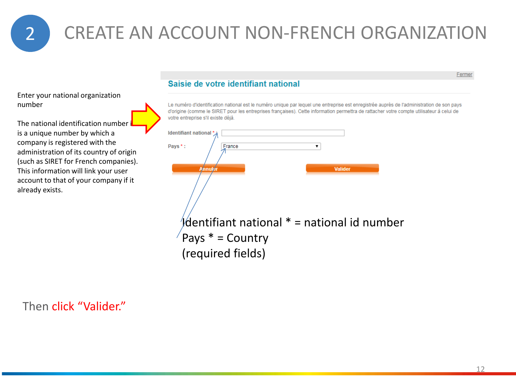2 CREATE AN ACCOUNT NON-FRENCH ORGANIZATION

Enter your national organization number

The national identification number is a unique number by which a company is registered with the administration of its country of origin (such as SIRET for French companies). This information will link your user account to that of your company if it already exists.

### Saisie de votre identifiant national

Le numéro d'identification national est le numéro unique par lequel une entreprise est enregistrée auprès de l'administration de son pays d'origine (comme le SIRET pour les entreprises françaises). Cette information permettra de rattacher votre compte utilisateur à celui de votre entreprise s'il existe déjà.



### Then click "Valider."

Fermer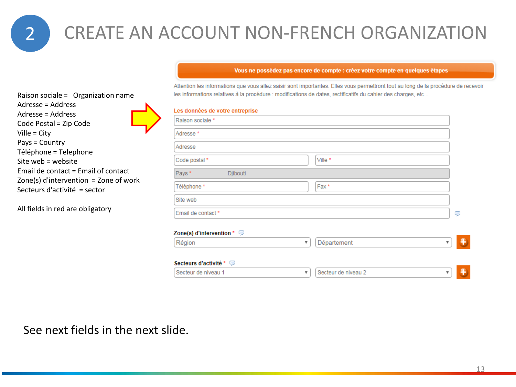Raison sociale = Organization name

Email de contact = Email of contact Zone(s) d'intervention = Zone of work

Adresse = Address Adresse = Address Code Postal = Zip Code

Téléphone = Telephone Site web = website

Secteurs d'activité = sector

All fields in red are obligatory

Ville = City Pays = Country

## 2 CREATE AN ACCOUNT NON-FRENCH ORGANIZATION

#### Vous ne possédez pas encore de compte : créez votre compte en quelques étapes

Attention les informations que vous allez saisir sont importantes. Elles vous permettront tout au long de la procédure de recevoir les informations relatives à la procédure : modifications de dates, rectificatifs du cahier des charges, etc...

| Les données de votre entreprise |          |         |  |
|---------------------------------|----------|---------|--|
| Raison sociale *                |          |         |  |
| Adresse <sup>*</sup>            |          |         |  |
| Adresse                         |          |         |  |
| Code postal *                   |          | Ville * |  |
| Pays*                           | Djibouti |         |  |
| Téléphone *                     |          | Fax*    |  |
| Site web                        |          |         |  |
| Email de contact*               |          |         |  |

#### Zone(s) d'intervention \*  $\heartsuit$

| Région                             | Département         |  |
|------------------------------------|---------------------|--|
| Secteurs d'activité * $\heartsuit$ |                     |  |
| Secteur de niveau 1                | Secteur de niveau 2 |  |

See next fields in the next slide.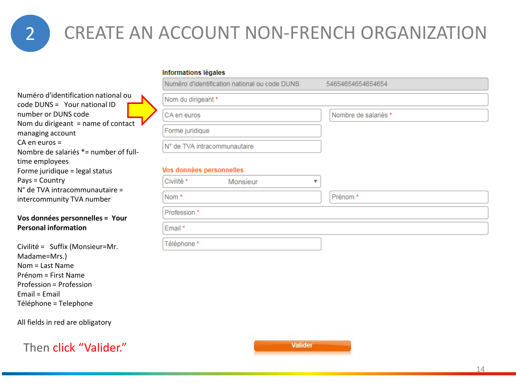## 2 CREATE AN ACCOUNT NON-FRENCH ORGANIZATION

#### **Informations légales**

Numéro d'identification national ou code DUNS = Your national ID number or DUNS code Nom du dirigeant = name of contact managing account CA en euros = Nombre de salariés \*= number of fulltime employees Forme juridique = legal status Pays = Country N° de TVA intracommunautaire = intercommunity TVA number

### **Vos données personnelles = Your Personal information**

Civilité = Suffix (Monsieur=Mr. Madame=Mrs.) Nom = Last Name Prénom = First Name Profession = Profession Email = Email Téléphone = Telephone

All fields in red are obligatory

Then click "Valider."

| I Numéro d'identification national ou code DUNS | 54654654654654654    |
|-------------------------------------------------|----------------------|
| Nom du dirigeant *                              |                      |
| ICA en euros                                    | Nombre de salariés * |
| Forme juridique                                 |                      |
| IN° de TVA intracommunautaire                   |                      |

### Vos données personnelles

| Civilité *  | Monsieur |         |
|-------------|----------|---------|
| Nom*        |          | Prénom* |
| Profession* |          |         |
| Email*      |          |         |
| Téléphone * |          |         |

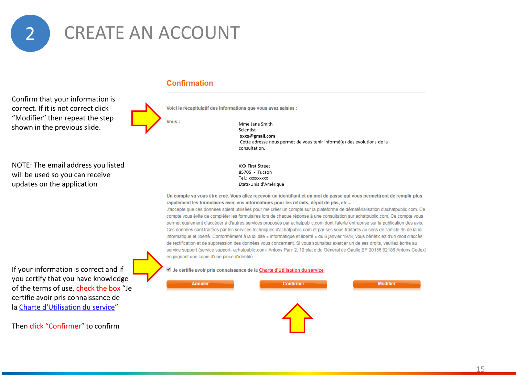

Confirm that your information is correct. If it is not correct click "Modifier" then repeat the step shown in the previous slide.



**Confirmation** 

Voici le récapitulatif des informations que vous avez saisies :

Vous:

Mme Jane Smith Scientist **xxxx@gmail.com** Cette adresse nous permet de vous tenir informé(e) des évolutions de la consultation.

NOTE: The email address you listed will be used so you can receive updates on the application

XXX First Street 85705 - Tucson Tel.: xxxxxxxxx Etats-Unis d'Amérique

Un compte va vous être créé. Vous allez recevoir un identifiant et un mot de passe qui vous permettront de remplir plus rapidement les formulaires avec vos informations pour les retraits, dépôt de plis, etc...

J'accepte que ces données soient utilisées pour me créer un compte sur la plateforme de dématérialisation d'achatpublic.com. Ce compte vous évite de compléter les formulaires lors de chaque réponse à une consultation sur achatpublic.com. Ce compte vous permet également d'accéder à d'autres services proposés par achatpublic.com dont l'alerte entreprise sur la publication des avis. Ces données sont traitées par les services techniques d'achatpublic.com et par ses sous-traitants au sens de l'article 35 de la loi informatique et liberté. Conformément à la loi dite « informatique et liberté » du 6 janvier 1978, vous bénéficiez d'un droit d'accès, de rectification et de suppression des données vous concernant. Si vous souhaitez exercer un de ses droits, veuillez écrire au service support (service support- achatpublic.com- Antony Parc 2, 10 place du Général de Gaulle BP 20156 92186 Antony Cedex) en joignant une copie d'une pièce d'identité.

Je certifie avoir pris connaissance de la Charte d'Utilisation du service



If your information is correct and if you certify that you have knowledge of the terms of use, check the box "Je certifie avoir pris connaissance de la [Charte d'Utilisation du service](https://marchesonline.achatpublic.com/sdm/ent/compteconfort/CompteConfortCreationForm.do)"

Then click "Confirmer" to confirm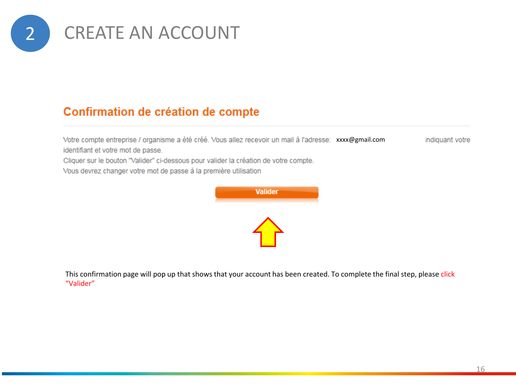

### Confirmation de création de compte

Votre compte entreprise / organisme a été créé. Vous allez recevoir un mail à l'adresse: xxxx@gmail.com indiquant votre identifiant et votre mot de passe.

Cliquer sur le bouton "Valider" ci-dessous pour valider la création de votre compte.

Vous devrez changer votre mot de passe à la première utilisation



This confirmation page will pop up that shows that your account has been created. To complete the final step, please click "Valider"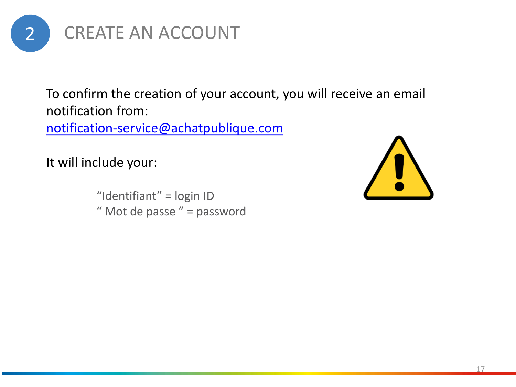

To confirm the creation of your account, you will receive an email notification from:

[notification-service@achatpublique.com](mailto:notification-service@achatpublique.com)

It will include your:

"Identifiant" = login ID " Mot de passe " = password

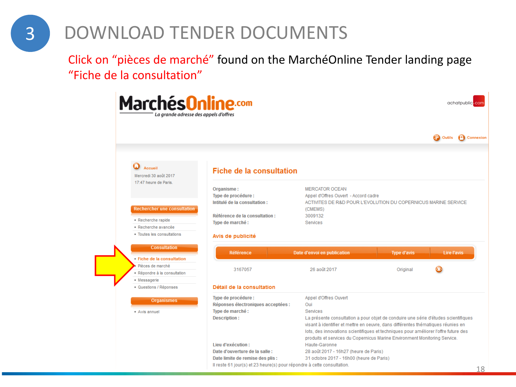## 3 DOWNLOAD TENDER DOCUMENTS

Click on "pièces de marché" found on the MarchéOnline Tender landing page "Fiche de la consultation"

| Marchés <mark>Online.com</mark><br>La grande adresse des appels d'offres                                 |                                                                                                                                                                    |                                                                                                                                                                                                                                                                                                           |                                | achatpublic.com                  |
|----------------------------------------------------------------------------------------------------------|--------------------------------------------------------------------------------------------------------------------------------------------------------------------|-----------------------------------------------------------------------------------------------------------------------------------------------------------------------------------------------------------------------------------------------------------------------------------------------------------|--------------------------------|----------------------------------|
|                                                                                                          |                                                                                                                                                                    |                                                                                                                                                                                                                                                                                                           |                                | <sup>1</sup> Connexion<br>Outils |
| Accueil<br>Mercredi 30 août 2017                                                                         | <b>Fiche de la consultation</b>                                                                                                                                    |                                                                                                                                                                                                                                                                                                           |                                |                                  |
| 17:47 heure de Paris.<br><b>Rechercher une consultation</b><br>• Recherche rapide<br>· Recherche avancée | Organisme:<br>Type de procédure :<br>Intitulé de la consultation :<br>Référence de la consultation :<br>Type de marché :                                           | <b>MERCATOR OCEAN</b><br>Appel d'Offres Ouvert - Accord cadre<br>ACTIVITES DE R&D POUR L'EVOLUTION DU COPERNICUS MARINE SERVICE<br>(CMEMS)<br>3009132<br><b>Services</b>                                                                                                                                  |                                |                                  |
| • Toutes les consultations<br><b>Consultation</b>                                                        | Avis de publicité                                                                                                                                                  |                                                                                                                                                                                                                                                                                                           |                                |                                  |
| • Fiche de la consultation<br>Pièces de marché<br>· Répondre à la consultation                           | <b>Référence</b><br>3167057                                                                                                                                        | Date d'envoi en publication<br>26 août 2017                                                                                                                                                                                                                                                               | <b>Type d'avis</b><br>Original | <b>Lire l'avis</b>               |
| • Messagerie<br>· Questions / Réponses                                                                   | Détail de la consultation                                                                                                                                          |                                                                                                                                                                                                                                                                                                           |                                |                                  |
| <b>Organismes</b><br>• Avis annuel                                                                       | Type de procédure :<br>Réponses électroniques acceptées :<br>Type de marché :<br>Description:                                                                      | Appel d'Offres Ouvert<br>Oui<br>Services<br>La présente consultation a pour objet de conduire une série d'études scientifiques<br>visant à identifier et mettre en oeuvre, dans différentes thématiques réunies en<br>lots, des innovations scientifiques et techniques pour améliorer l'offre future des |                                |                                  |
|                                                                                                          | Lieu d'exécution :<br>Date d'ouverture de la salle :<br>Date limite de remise des plis :<br>Il reste 61 jour(s) et 23 heure(s) pour répondre à cette consultation. | produits et services du Copernicus Marine Environment Monitoring Service.<br>Haute-Garonne<br>28 août 2017 - 16h27 (heure de Paris)<br>31 octobre 2017 - 16h00 (heure de Paris)                                                                                                                           |                                | 18                               |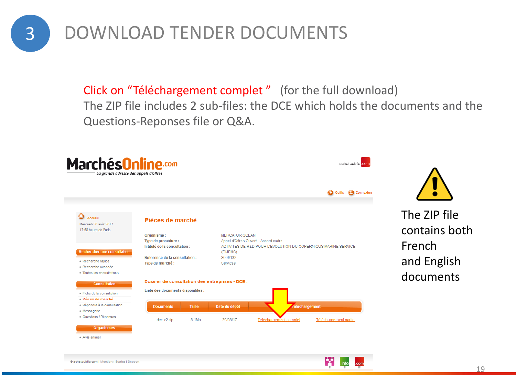3 DOWNLOAD TENDER DOCUMENTS

Click on "Téléchargement complet" (for the full download) The ZIP file includes 2 sub-files: the DCE which holds the documents and the Questions-Reponses file or Q&A.



@ achatpublic.com | Mentions légales | Support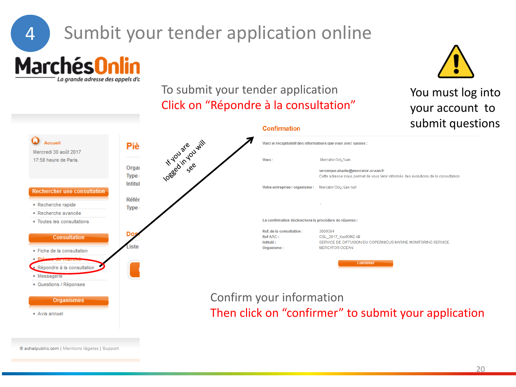# 4 Sumbit your tender application online

**MarchésOnlin** 

La grande adresse des appels d'o



## To submit your tender application Click on "Répondre à la consultation"

**Confirmation** 

## You must log into your account to submit questions